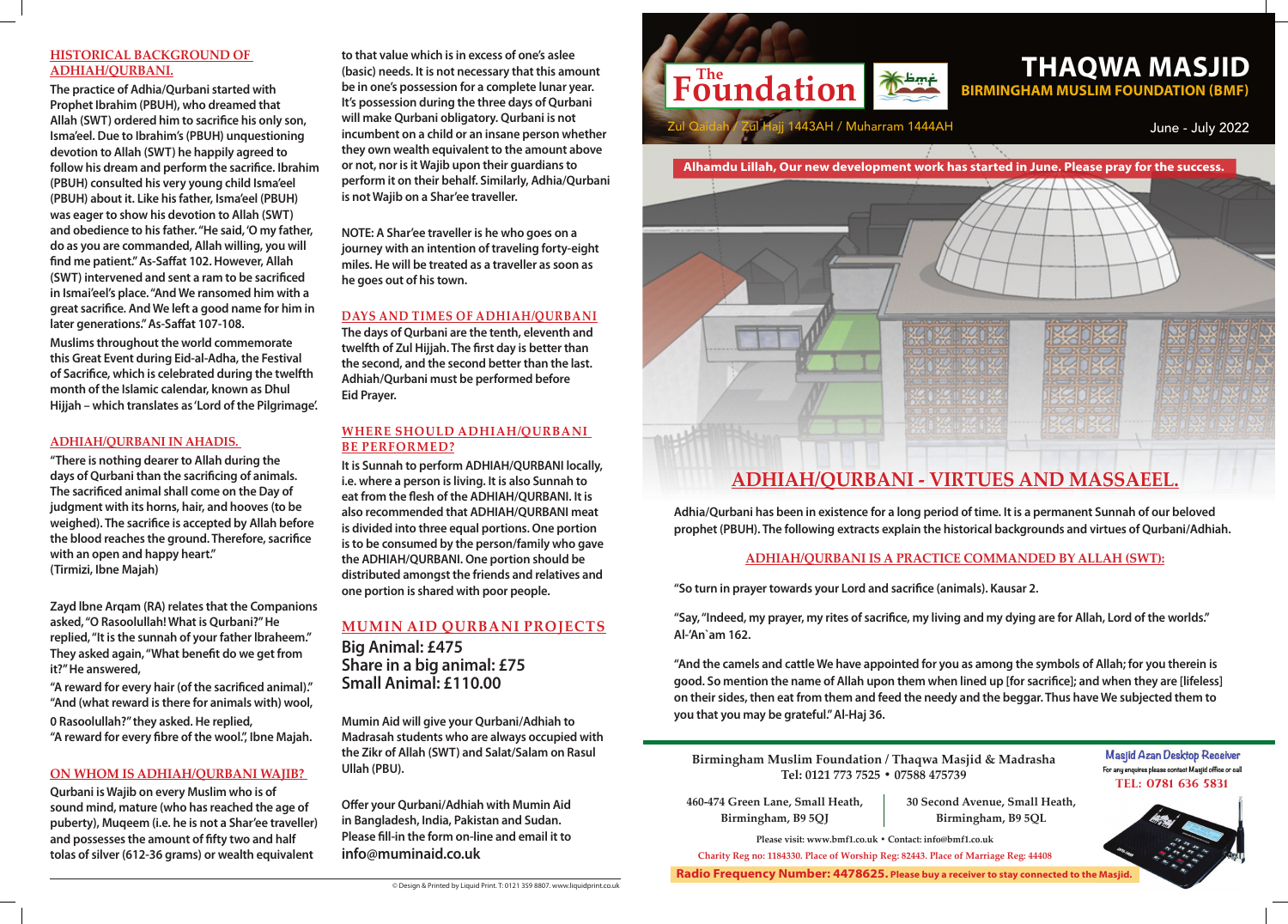**Birmingham Muslim Foundation / Thaqwa Masjid & Madrasha Tel: 0121 773 7525 • 07588 475739**

Masjid Azan Desktop Receiver For any enquires please contact Masjid office or call **Tel: 0781 636 5831**



**Please visit: www.bmf1.co.uk • Contact: info@bmf1.co.uk Charity Reg no: 1184330. Place of Worship Reg: 82443. Place of Marriage Reg: 44408**

**460-474 Green Lane, Small Heath, Birmingham, B9 5QJ**

**30 Second Avenue, Small Heath, Birmingham, B9 5QL**

**Radio Frequency Number: 4478625. Please buy a receiver to stay connected to the Masjid.**

**Adhia/Qurbani has been in existence for a long period of time. It is a permanent Sunnah of our beloved prophet (PBUH). The following extracts explain the historical backgrounds and virtues of Qurbani/Adhiah.**



**ADHIAH/QURBANI IS A PRACTICE COMMANDED BY ALLAH (SWT):**

**"So turn in prayer towards your Lord and sacrifice (animals). Kausar 2.**

**"Say, "Indeed, my prayer, my rites of sacrifice, my living and my dying are for Allah, Lord of the worlds." Al-'An`am 162.**

**"And the camels and cattle We have appointed for you as among the symbols of Allah; for you therein is good. So mention the name of Allah upon them when lined up [for sacrifice]; and when they are [lifeless] on their sides, then eat from them and feed the needy and the beggar. Thus have We subjected them to you that you may be grateful." Al-Haj 36.**

# **HISTORICAL BACKGROUND OF ADHIAH/QURBANI.**

**The practice of Adhia/Qurbani started with Prophet Ibrahim (PBUH), who dreamed that Allah (SWT) ordered him to sacrifice his only son, Isma'eel. Due to Ibrahim's (PBUH) unquestioning devotion to Allah (SWT) he happily agreed to follow his dream and perform the sacrifice. Ibrahim (PBUH) consulted his very young child Isma'eel (PBUH) about it. Like his father, Isma'eel (PBUH) was eager to show his devotion to Allah (SWT) and obedience to his father. "He said, 'O my father, do as you are commanded, Allah willing, you will find me patient." As-Saffat 102. However, Allah (SWT) intervened and sent a ram to be sacrificed in Ismai'eel's place. "And We ransomed him with a great sacrifice. And We left a good name for him in later generations." As-Saffat 107-108.**

**Muslims throughout the world commemorate this Great Event during Eid-al-Adha, the Festival of Sacrifice, which is celebrated during the twelfth month of the Islamic calendar, known as Dhul Hijjah – which translates as 'Lord of the Pilgrimage'.**

### **ADHIAH/QURBANI IN AHADIS.**

**"There is nothing dearer to Allah during the days of Qurbani than the sacrificing of animals. The sacrificed animal shall come on the Day of judgment with its horns, hair, and hooves (to be weighed). The sacrifice is accepted by Allah before the blood reaches the ground. Therefore, sacrifice with an open and happy heart." (Tirmizi, Ibne Majah)** 

**Zayd lbne Arqam (RA) relates that the Companions asked, "O Rasoolullah! What is Qurbani?" He replied, "It is the sunnah of your father lbraheem." They asked again, "What benefit do we get from it?" He answered,**

**"A reward for every hair (of the sacrificed animal)." "And (what reward is there for animals with) wool, 0 Rasoolullah?" they asked. He replied, "A reward for every fibre of the wool.", Ibne Majah.** 

### **ON WHOM IS ADHIAH/QURBANI WAJIB?**

**Qurbani is Wajib on every Muslim who is of sound mind, mature (who has reached the age of puberty), Muqeem (i.e. he is not a Shar'ee traveller) and possesses the amount of fifty two and half tolas of silver (612-36 grams) or wealth equivalent** 

**to that value which is in excess of one's aslee (basic) needs. It is not necessary that this amount be in one's possession for a complete lunar year. It's possession during the three days of Qurbani will make Qurbani obligatory. Qurbani is not incumbent on a child or an insane person whether they own wealth equivalent to the amount above or not, nor is it Wajib upon their guardians to perform it on their behalf. Similarly, Adhia/Qurbani is not Wajib on a Shar'ee traveller.** 

**NOTE: A Shar'ee traveller is he who goes on a journey with an intention of traveling forty-eight miles. He will be treated as a traveller as soon as he goes out of his town.** 

# **Days and times of Adhiah/Qurbani**

**The days of Qurbani are the tenth, eleventh and twelfth of Zul Hijjah. The first day is better than the second, and the second better than the last. Adhiah/Qurbani must be performed before Eid Prayer.**

## **Where should ADHIAH/QURBANI be performed?**

**It is Sunnah to perform ADHIAH/QURBANI locally, i.e. where a person is living. It is also Sunnah to eat from the flesh of the ADHIAH/QURBANI. It is also recommended that ADHIAH/QURBANI meat is divided into three equal portions. One portion is to be consumed by the person/family who gave the ADHIAH/QURBANI. One portion should be distributed amongst the friends and relatives and one portion is shared with poor people.**

# **Mumin Aid Qurbani Projects**

**Big Animal: £475 Share in a big animal: £75 Small Animal: £110.00**

**Mumin Aid will give your Qurbani/Adhiah to Madrasah students who are always occupied with the Zikr of Allah (SWT) and Salat/Salam on Rasul Ullah (PBU).** 

**Offer your Qurbani/Adhiah with Mumin Aid in Bangladesh, India, Pakistan and Sudan. Please fill-in the form on-line and email it to info@muminaid.co.uk**